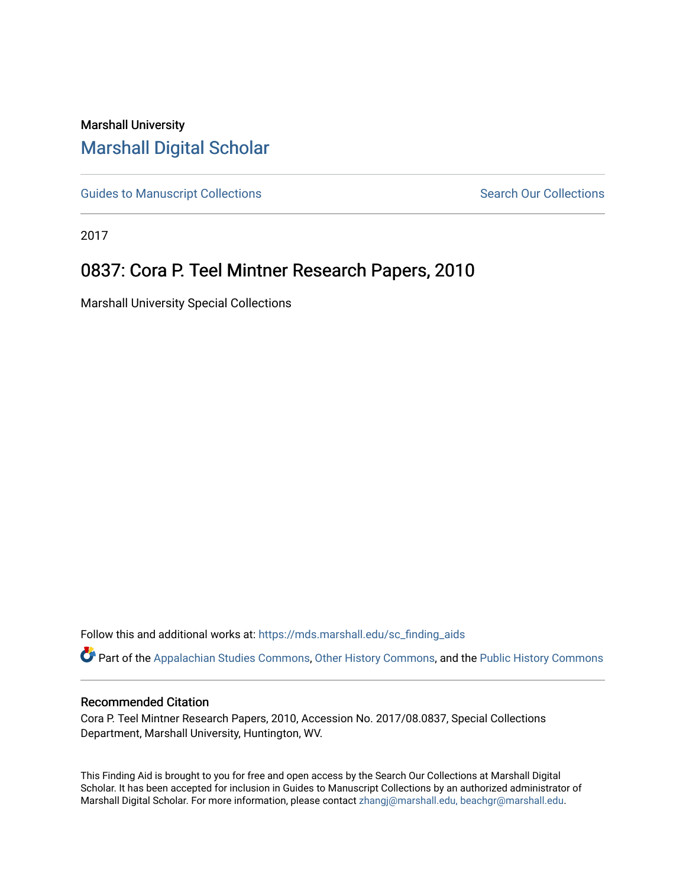## Marshall University [Marshall Digital Scholar](https://mds.marshall.edu/)

[Guides to Manuscript Collections](https://mds.marshall.edu/sc_finding_aids) **Search Our Collections** Search Our Collections

2017

# 0837: Cora P. Teel Mintner Research Papers, 2010

Marshall University Special Collections

Follow this and additional works at: [https://mds.marshall.edu/sc\\_finding\\_aids](https://mds.marshall.edu/sc_finding_aids?utm_source=mds.marshall.edu%2Fsc_finding_aids%2F703&utm_medium=PDF&utm_campaign=PDFCoverPages) 

Part of the [Appalachian Studies Commons,](http://network.bepress.com/hgg/discipline/1253?utm_source=mds.marshall.edu%2Fsc_finding_aids%2F703&utm_medium=PDF&utm_campaign=PDFCoverPages) [Other History Commons](http://network.bepress.com/hgg/discipline/508?utm_source=mds.marshall.edu%2Fsc_finding_aids%2F703&utm_medium=PDF&utm_campaign=PDFCoverPages), and the [Public History Commons](http://network.bepress.com/hgg/discipline/1292?utm_source=mds.marshall.edu%2Fsc_finding_aids%2F703&utm_medium=PDF&utm_campaign=PDFCoverPages) 

#### Recommended Citation

Cora P. Teel Mintner Research Papers, 2010, Accession No. 2017/08.0837, Special Collections Department, Marshall University, Huntington, WV.

This Finding Aid is brought to you for free and open access by the Search Our Collections at Marshall Digital Scholar. It has been accepted for inclusion in Guides to Manuscript Collections by an authorized administrator of Marshall Digital Scholar. For more information, please contact [zhangj@marshall.edu, beachgr@marshall.edu](mailto:zhangj@marshall.edu,%20beachgr@marshall.edu).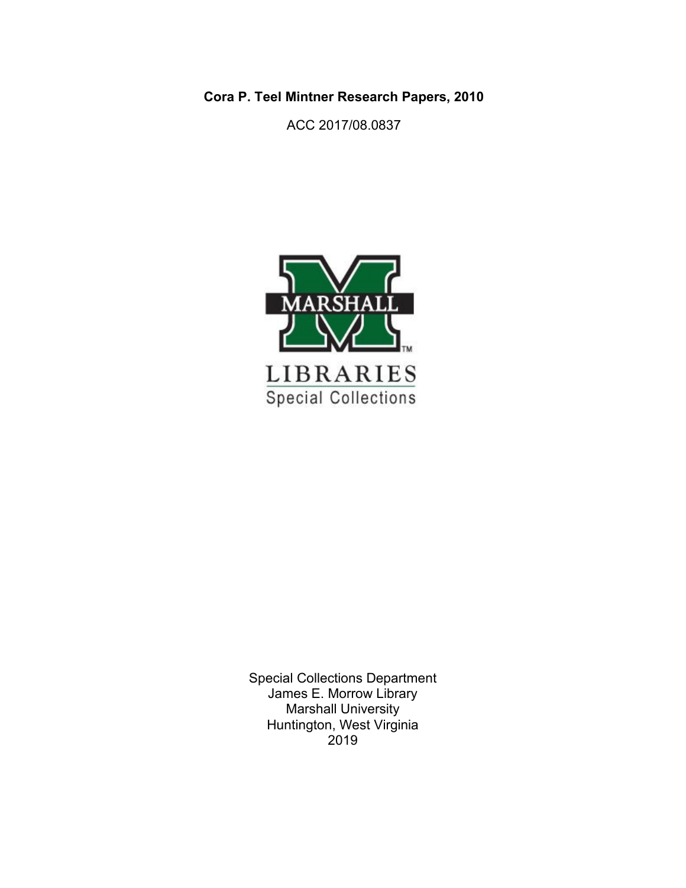**Cora P. Teel Mintner Research Papers, 2010**

ACC 2017/08.0837



Special Collections Department James E. Morrow Library Marshall University Huntington, West Virginia 2019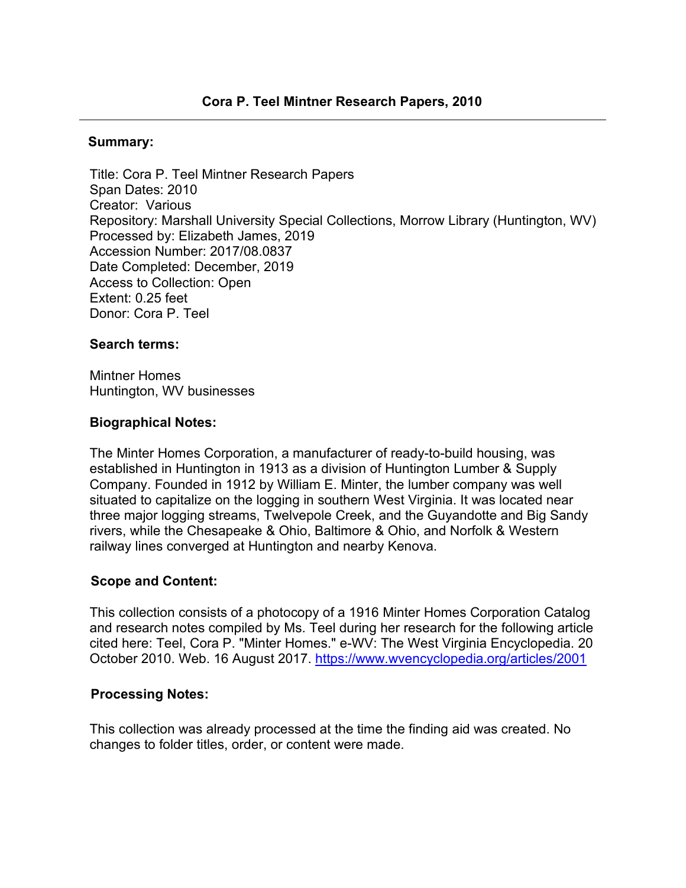#### **Summary:**

Title: Cora P. Teel Mintner Research Papers Span Dates: 2010 Creator: Various Repository: Marshall University Special Collections, Morrow Library (Huntington, WV) Processed by: Elizabeth James, 2019 Accession Number: 2017/08.0837 Date Completed: December, 2019 Access to Collection: Open Extent: 0.25 feet Donor: Cora P. Teel

#### **Search terms:**

Mintner Homes Huntington, WV businesses

#### **Biographical Notes:**

The Minter Homes Corporation, a manufacturer of ready-to-build housing, was established in Huntington in 1913 as a division of Huntington Lumber & Supply Company. Founded in 1912 by William E. Minter, the lumber company was well situated to capitalize on the logging in southern West Virginia. It was located near three major logging streams, Twelvepole Creek, and the Guyandotte and Big Sandy rivers, while the Chesapeake & Ohio, Baltimore & Ohio, and Norfolk & Western railway lines converged at Huntington and nearby Kenova.

#### **Scope and Content:**

This collection consists of a photocopy of a 1916 Minter Homes Corporation Catalog and research notes compiled by Ms. Teel during her research for the following article cited here: Teel, Cora P. "Minter Homes." e-WV: The West Virginia Encyclopedia. 20 October 2010. Web. 16 August 2017. <https://www.wvencyclopedia.org/articles/2001>

#### **Processing Notes:**

This collection was already processed at the time the finding aid was created. No changes to folder titles, order, or content were made.